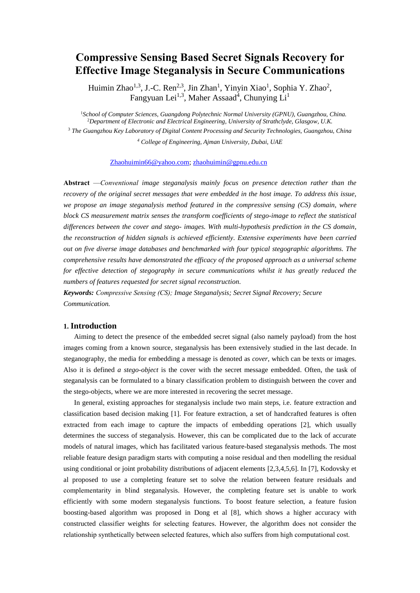# **Compressive Sensing Based Secret Signals Recovery for Effective Image Steganalysis in Secure Communications**

Huimin Zhao<sup>1,3</sup>, J.-C. Ren<sup>2,3</sup>, Jin Zhan<sup>1</sup>, Yinyin Xiao<sup>1</sup>, Sophia Y. Zhao<sup>2</sup>, Fangyuan Lei<sup>1,3</sup>, Maher Assaad<sup>4</sup>, Chunying Li<sup>1</sup>

<sup>1</sup>*School of Computer Sciences, Guangdong Polytechnic Normal University (GPNU), Guangzhou, China.* <sup>2</sup>*Department of Electronic and Electrical Engineering, University of Strathclyde, Glasgow, U.K.*

<sup>3</sup> *The Guangzhou Key Laboratory of Digital Content Processing and Security Technologies, Guangzhou, China <sup>4</sup> College of Engineering, Ajman University, Dubai, UAE*

#### [Zhaohuimin66@yahoo.com;](mailto:Zhaohuimin66@yahoo.com) [zhaohuimin@gpnu.edu.cn](mailto:zhaohuimin@gpnu.edu.cn)

**Abstract** —*Conventional image steganalysis mainly focus on presence detection rather than the recovery of the original secret messages that were embedded in the host image. To address this issue, we propose an image steganalysis method featured in the compressive sensing (CS) domain, where block CS measurement matrix senses the transform coefficients of stego-image to reflect the statistical differences between the cover and stego- images. With multi-hypothesis prediction in the CS domain, the reconstruction of hidden signals is achieved efficiently. Extensive experiments have been carried out on five diverse image databases and benchmarked with four typical stegographic algorithms. The comprehensive results have demonstrated the efficacy of the proposed approach as a universal scheme for effective detection of stegography in secure communications whilst it has greatly reduced the numbers of features requested for secret signal reconstruction.*

*Keywords: Compressive Sensing (CS); Image Steganalysis; Secret Signal Recovery; Secure Communication.*

## **1. Introduction**

Aiming to detect the presence of the embedded secret signal (also namely payload) from the host images coming from a known source, steganalysis has been extensively studied in the last decade. In steganography, the media for embedding a message is denoted as *cover*, which can be texts or images. Also it is defined *a stego-object* is the cover with the secret message embedded. Often, the task of steganalysis can be formulated to a binary classification problem to distinguish between the cover and the stego-objects, where we are more interested in recovering the secret message.

In general, existing approaches for steganalysis include two main steps, i.e. feature extraction and classification based decision making [1]. For feature extraction, a set of handcrafted features is often extracted from each image to capture the impacts of embedding operations [2], which usually determines the success of steganalysis. However, this can be complicated due to the lack of accurate models of natural images, which has facilitated various feature-based steganalysis methods. The most reliable feature design paradigm starts with computing a noise residual and then modelling the residual using conditional or joint probability distributions of adjacent elements [2,3,4,5,6]. In [7], Kodovsky et al proposed to use a completing feature set to solve the relation between feature residuals and complementarity in blind steganalysis. However, the completing feature set is unable to work efficiently with some modern steganalysis functions. To boost feature selection, a feature fusion boosting-based algorithm was proposed in Dong et al [8], which shows a higher accuracy with constructed classifier weights for selecting features. However, the algorithm does not consider the relationship synthetically between selected features, which also suffers from high computational cost.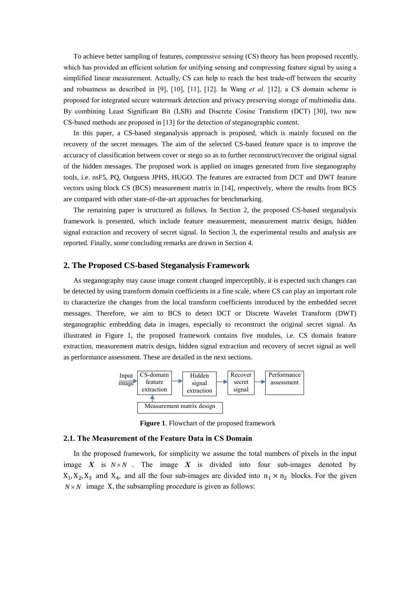To achieve better sampling of features, compressive sensing (CS) theory has been proposed recently, which has provided an efficient solution for unifying sensing and compressing feature signal by using a simplified linear measurement. Actually, CS can help to reach the best trade-off between the security and robustness as described in [9], [10], [11], [12]. In Wang *et al*. [12], a CS domain scheme is proposed for integrated secure watermark detection and privacy preserving storage of multimedia data. By combining Least Significant Bit (LSB) and Discrete Cosine Transform (DCT) [30], two new CS-based methods are proposed in [13] for the detection of steganographic content.

In this paper, a CS-based steganalysis approach is proposed, which is mainly focused on the recovery of the secret messages. The aim of the selected CS-based feature space is to improve the accuracy of classification between cover or stego so as to further reconstruct/recover the original signal of the hidden messages. The proposed work is applied on images generated from five steganography tools, i.e. nsF5, PQ, Outguess JPHS, HUGO. The features are extracted from DCT and DWT feature vectors using block CS (BCS) measurement matrix in [14], respectively, where the results from BCS are compared with other state-of-the-art approaches for benchmarking.

The remaining paper is structured as follows. In Section 2, the proposed CS-based steganalysis framework is presented, which include feature measurement, measurement matrix design, hidden signal extraction and recovery of secret signal. In Section 3, the experimental results and analysis are reported. Finally, some concluding remarks are drawn in Section 4.

## **2. The Proposed CS-based Steganalysis Framework**

As steganography may cause image content changed imperceptibly, it is expected such changes can be detected by using transform domain coefficients in a fine scale, where CS can play an important role to characterize the changes from the local transform coefficients introduced by the embedded secret messages. Therefore, we aim to BCS to detect DCT or Discrete Wavelet Transform (DWT) steganographic embedding data in images, especially to reconstruct the original secret signal. As illustrated in Figure 1, the proposed framework contains five modules, i.e. CS domain feature extraction, measurement matrix design, hidden signal extraction and recovery of secret signal as well as performance assessment. These are detailed in the next sections.



**Figure 1**. Flowchart of the proposed framework

## **2.1. The Measurement of the Feature Data in CS Domain**

In the proposed framework, for simplicity we assume the total numbers of pixels in the input image  $X$  is  $N \times N$ . The image  $X$  is divided into four sub-images denoted by  $X_1, X_2, X_3$  and  $X_4$ , and all the four sub-images are divided into  $n_1 \times n_2$  blocks. For the given  $N \times N$  image X, the subsampling procedure is given as follows: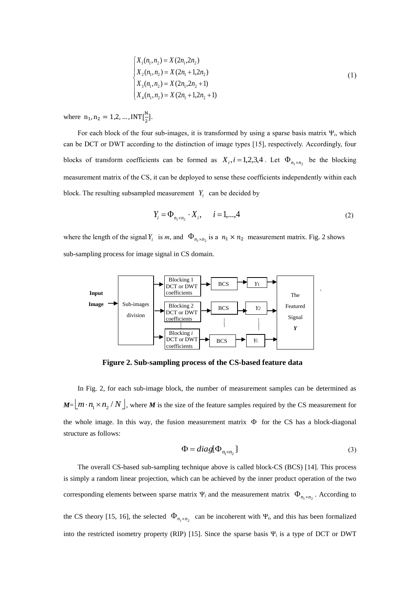$$
\begin{cases}\nX_1(n_1, n_2) = X(2n_1, 2n_2) \\
X_2(n_1, n_2) = X(2n_1 + 1, 2n_2) \\
X_3(n_1, n_2) = X(2n_1, 2n_2 + 1) \\
X_4(n_1, n_2) = X(2n_1 + 1, 2n_2 + 1)\n\end{cases}
$$
\n(1)

where  $n_1, n_2 = 1, 2, ...$ , INT $\left[\frac{N}{2}\right]$  $\frac{1}{2}$ ].

For each block of the four sub-images, it is transformed by using a sparse basis matrix Ψ*i*, which can be DCT or DWT according to the distinction of image types [15], respectively. Accordingly, four blocks of transform coefficients can be formed as  $X_i$ ,  $i = 1,2,3,4$ . Let  $\Phi_{n_1 \times n_2}$  be the blocking measurement matrix of the CS, it can be deployed to sense these coefficients independently within each block. The resulting subsampled measurement  $Y_i$  can be decided by

$$
Y_i = \Phi_{n_1 \times n_2} \cdot X_i, \qquad i = 1, \dots, 4
$$
 (2)

where the length of the signal  $Y_i$  is *m*, and  $\Phi_{n_1 \times n_2}$  is a  $n_1 \times n_2$  measurement matrix. Fig. 2 shows sub-sampling process for image signal in CS domain.



**Figure 2. Sub-sampling process of the CS-based feature data**

In Fig. 2, for each sub-image block, the number of measurement samples can be determined as  $M = [m \cdot n_1 \times n_2 / N]$ , where *M* is the size of the feature samples required by the CS measurement for the whole image. In this way, the fusion measurement matrix  $\Phi$  for the CS has a block-diagonal structure as follows:

$$
\Phi = diag[\Phi_{n_1 \times n_2}] \tag{3}
$$

The overall CS-based sub-sampling technique above is called block-CS (BCS) [14]. This process is simply a random linear projection, which can be achieved by the inner product operation of the two corresponding elements between sparse matrix  $\Psi_i$  and the measurement matrix  $\Phi_{n_1 \times n_2}$ . According to the CS theory [15, 16], the selected  $\Phi_{n_1 \times n_2}$  can be incoherent with  $\Psi_i$ , and this has been formalized into the restricted isometry property (RIP) [15]. Since the sparse basis Ψ*<sup>i</sup>* is a type of DCT or DWT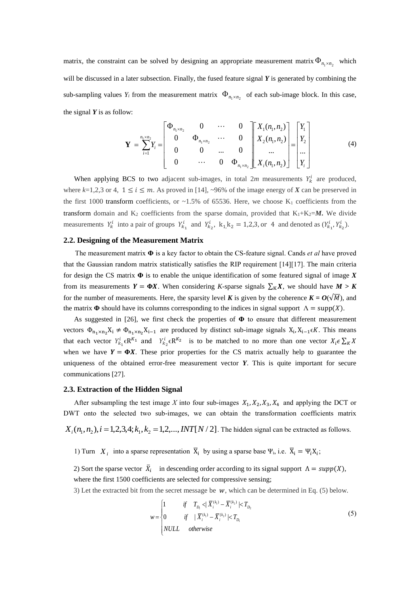matrix, the constraint can be solved by designing an appropriate measurement matrix  $\Phi_{n_1 \times n_2}$  which will be discussed in a later subsection. Finally, the fused feature signal *Y* is generated by combining the sub-sampling values  $Y_i$  from the measurement matrix  $\Phi_{n_1 \times n_2}$  of each sub-image block. In this case, the signal  $Y$  is as follow:

$$
\mathbf{Y} = \sum_{i=1}^{n_1 \times n_2} Y_i = \begin{bmatrix} \Phi_{n_1 \times n_2} & 0 & \cdots & 0 \\ 0 & \Phi_{n_1 \times n_2} & \cdots & 0 \\ 0 & 0 & \cdots & 0 \\ 0 & \cdots & 0 & \Phi_{n_1 \times n_2} \end{bmatrix} \begin{bmatrix} X_1(n_1, n_2) \\ X_2(n_1, n_2) \\ \cdots \\ X_i(n_1, n_2) \end{bmatrix} = \begin{bmatrix} Y_1 \\ Y_2 \\ \cdots \\ Y_i \end{bmatrix}
$$
(4)

When applying BCS to two adjacent sub-images, in total  $2m$  measurements  $Y_k^i$  are produced, where  $k=1,2,3$  or 4,  $1 \le i \le m$ . As proved in [14], ~96% of the image energy of *X* can be preserved in the first 1000 transform coefficients, or  $\sim$  1.5% of 65536. Here, we choose K<sub>1</sub> coefficients from the transform domain and  $K_2$  coefficients from the sparse domain, provided that  $K_1+K_2=M$ . We divide measurements  $Y_k^i$  into a pair of groups  $Y_{k_1}^i$  and  $Y_{k_2}^i$ ,  $k_1, k_2 = 1, 2, 3$ , or 4 and denoted as  $(Y_{k_1}^i, Y_{k_2}^i)$ .

#### **2.2. Designing of the Measurement Matrix**

 The measurement matrix **Φ** is a key factor to obtain the CS-feature signal. Cands *et al* have proved that the Gaussian random matrix statistically satisfies the RIP requirement [14][17]. The main criteria for design the CS matrix **Φ** is to enable the unique identification of some featured signal of image *X* from its measurements  $Y = \Phi X$ . When considering *K*-sparse signals  $\sum_{K} X$ , we should have  $M > K$ for the number of measurements. Here, the sparsity level *K* is given by the coherence  $K = O(\sqrt{M})$ , and the matrix  $\Phi$  should have its columns corresponding to the indices in signal support  $\Lambda = \text{supp}(X)$ .

As suggested in [26], we first check the properties of **Φ** to ensure that different measurement vectors  $\Phi_{n_1 \times n_2} X_i \neq \Phi_{n_1 \times n_2} X_{i-1}$  are produced by distinct sub-image signals  $X_i, X_{i-1} \in K$ . This means that each vector  $Y_{k_1}^i \in \mathbb{R}^{K_1}$  and  $Y_{k_2}^i \in \mathbb{R}^{K_2}$  is to be matched to no more than one vector  $X_i \in \sum_K X$ when we have  $Y = \Phi X$ . These prior properties for the CS matrix actually help to guarantee the uniqueness of the obtained error-free measurement vector *Y*. This is quite important for secure communications [27].

# **2.3. Extraction of the Hidden Signal**

After subsampling the test image X into four sub-images  $X_1, X_2, X_3, X_4$  and applying the DCT or DWT onto the selected two sub-images, we can obtain the transformation coefficients matrix

 $X_i(n_1, n_2), i = 1, 2, 3, 4; k_1, k_2 = 1, 2, ..., INT[N / 2]$ . The hidden signal can be extracted as follows.

1) Turn  $X_i$  into a sparse representation  $\overline{X}_i$  by using a sparse base  $\Psi_i$ , i.e.  $\overline{X}_i = \Psi_i X_i$ ;

2) Sort the sparse vector  $\overline{X}_i$  in descending order according to its signal support  $\Lambda = \text{supp}(X)$ , where the first 1500 coefficients are selected for compressive sensing;

3) Let the extracted bit from the secret message be  $w$ , which can be determined in Eq. (5) below.

$$
w = \begin{cases} 1 & \text{if } T_{D_1} < |\overline{X}_i^{(k_1)} - \overline{X}_i^{(k_2)}| < T_{D_2} \\ 0 & \text{if } |\overline{X}_i^{(k_1)} - \overline{X}_i^{(k_2)}| < T_{D_1} \\ NULL & \text{otherwise} \end{cases} \tag{5}
$$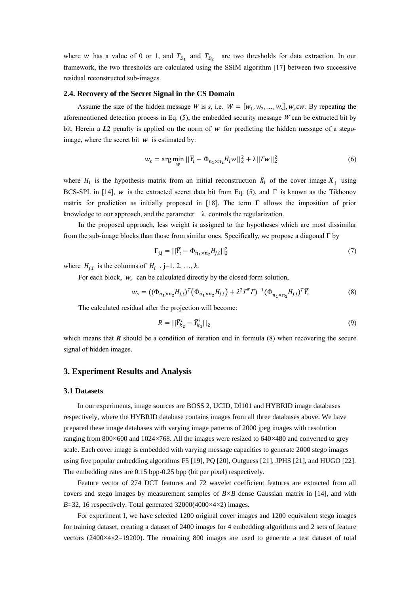where w has a value of 0 or 1, and  $T_{D_1}$  and  $T_{D_2}$  are two thresholds for data extraction. In our framework, the two thresholds are calculated using the SSIM algorithm [17] between two successive residual reconstructed sub-images.

## **2.4. Recovery of the Secret Signal in the CS Domain**

Assume the size of the hidden message *W* is *s*, i.e.  $W = [w_1, w_2, ..., w_s]$ ,  $w_s \in W$ . By repeating the aforementioned detection process in Eq.  $(5)$ , the embedded security message *W* can be extracted bit by bit. Herein a  $L2$  penalty is applied on the norm of  $w$  for predicting the hidden message of a stegoimage, where the secret bit  $w$  is estimated by:

$$
w_s = \arg\min_{w} \left| |\bar{Y}_l - \Phi_{n_1 \times n_2} H_i w| \right|_2^2 + \lambda ||I w||_2^2 \tag{6}
$$

where  $H_i$  is the hypothesis matrix from an initial reconstruction  $\bar{X}_i$  of the cover image  $X_i$  using BCS-SPL in [14], w is the extracted secret data bit from Eq. (5), and  $\Gamma$  is known as the Tikhonov matrix for prediction as initially proposed in [18]. The term  $\Gamma$  allows the imposition of prior knowledge to our approach, and the parameter  $\lambda$  controls the regularization.

In the proposed approach, less weight is assigned to the hypotheses which are most dissimilar from the sub-image blocks than those from similar ones. Specifically, we propose a diagonal Г by

$$
\Gamma_{j,j} = ||\overline{Y}_i - \Phi_{n_1 \times n_2} H_{j,i}||_2^2 \tag{7}
$$

where  $H_{j,i}$  is the columns of  $H_i$ , j=1, 2, ..., k.

For each block,  $w_s$  can be calculated directly by the closed form solution,

$$
w_s = ((\Phi_{n_1 \times n_2} H_{j,i})^T (\Phi_{n_1 \times n_2} H_{j,i}) + \lambda^2 I^T I)^{-1} (\Phi_{n_1 \times n_2} H_{j,i})^T \overline{Y}_i
$$
(8)

The calculated residual after the projection will become:

$$
R = ||\bar{Y}_{k_2}^i - \bar{Y}_{k_1}^i||_2
$$
\n(9)

which means that  $\bf{R}$  should be a condition of iteration end in formula (8) when recovering the secure signal of hidden images.

## **3. Experiment Results and Analysis**

#### **3.1 Datasets**

In our experiments, image sources are BOSS 2, UCID, DI101 and HYBRID image databases respectively, where the HYBRID database contains images from all three databases above. We have prepared these image databases with varying image patterns of 2000 jpeg images with resolution ranging from 800×600 and 1024×768. All the images were resized to 640×480 and converted to grey scale. Each cover image is embedded with varying message capacities to generate 2000 stego images using five popular embedding algorithms F5 [19], PQ [20], Outguess [21], JPHS [21], and HUGO [22]. The embedding rates are 0.15 bpp-0.25 bpp (bit per pixel) respectively.

Feature vector of 274 DCT features and 72 wavelet coefficient features are extracted from all covers and stego images by measurement samples of *B×B* dense Gaussian matrix in [14], and with *B*=32, 16 respectively. Total generated  $32000(4000\times4\times2)$  images.

For experiment I, we have selected 1200 original cover images and 1200 equivalent stego images for training dataset, creating a dataset of 2400 images for 4 embedding algorithms and 2 sets of feature vectors (2400×4×2=19200). The remaining 800 images are used to generate a test dataset of total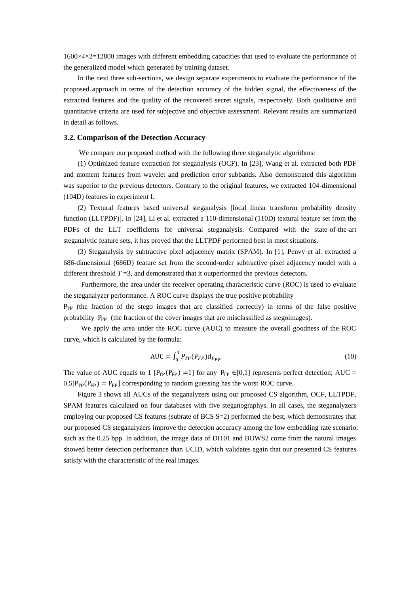1600×4×2=12800 images with different embedding capacities that used to evaluate the performance of the generalized model which generated by training dataset.

In the next three sub-sections, we design separate experiments to evaluate the performance of the proposed approach in terms of the detection accuracy of the hidden signal, the effectiveness of the extracted features and the quality of the recovered secret signals, respectively. Both qualitative and quantitative criteria are used for subjective and objective assessment. Relevant results are summarized in detail as follows.

## **3.2. Comparison of the Detection Accuracy**

We compare our proposed method with the following three steganalytic algorithms:

(1) Optimized feature extraction for steganalysis (OCF). In [23], Wang et al. extracted both PDF and moment features from wavelet and prediction error subbands. Also demonstrated this algorithm was superior to the previous detectors. Contrary to the original features, we extracted 104-dimensional (104D) features in experiment I.

(2) Textural features based universal steganalysis [local linear transform probability density function (LLTPDF)]. In [24], Li et al. extracted a 110-dimensional (110D) textural feature set from the PDFs of the LLT coefficients for universal steganalysis. Compared with the state-of-the-art steganalytic feature sets, it has proved that the LLTPDF performed best in most situations.

(3) Steganalysis by subtractive pixel adjacency matrix (SPAM). In [1], Penvy et al. extracted a 686-dimensional (686D) feature set from the second-order subtractive pixel adjacency model with a different threshold  $T=3$ , and demonstrated that it outperformed the previous detectors.

 Furthermore, the area under the receiver operating characteristic curve (ROC) is used to evaluate the steganalyzer performance. A ROC curve displays the true positive probability  $P_{TP}$  (the fraction of the stego images that are classified correctly) in terms of the false positive

We apply the area under the ROC curve (AUC) to measure the overall goodness of the ROC curve, which is calculated by the formula:

probability  $P_{FP}$  (the fraction of the cover images that are misclassified as stegoimages).

$$
AUC = \int_{0}^{1} P_{TP}(P_{FP}) d_{P_{FP}}
$$
 (10)

The value of AUC equals to 1 [P<sub>TP</sub>(P<sub>FP</sub>) =1] for any P<sub>TP</sub>  $\in [0,1]$  represents perfect detection; AUC =  $0.5[P_{TP}(P_{FP}) = P_{FP}]$  corresponding to random guessing has the worst ROC curve.

Figure 3 shows all AUCs of the steganalyzers using our proposed CS algorithm, OCF, LLTPDF, SPAM features calculated on four databases with five steganographys. In all cases, the steganalyzers employing our proposed CS features (subrate of BCS S=2) performed the best, which demonstrates that our proposed CS steganalyzers improve the detection accuracy among the low embedding rate scenario, such as the 0.25 bpp. In addition, the image data of DI101 and BOWS2 come from the natural images showed better detection performance than UCID, which validates again that our presented CS features satisfy with the characteristic of the real images.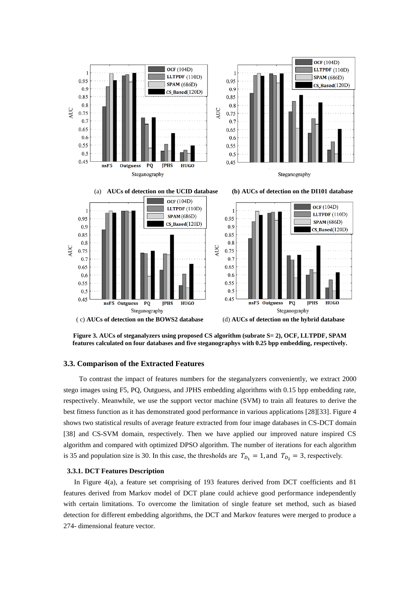

**Figure 3. AUCs of steganalyzers using proposed CS algorithm (subrate S= 2), OCF, LLTPDF, SPAM features calculated on four databases and five steganographys with 0.25 bpp embedding, respectively.**

## **3.3. Comparison of the Extracted Features**

 To contrast the impact of features numbers for the steganalyzers conveniently, we extract 2000 stego images using F5, PQ, Outguess, and JPHS embedding algorithms with 0.15 bpp embedding rate, respectively. Meanwhile, we use the support vector machine (SVM) to train all features to derive the best fitness function as it has demonstrated good performance in various applications [28][33]. Figure 4 shows two statistical results of average feature extracted from four image databases in CS-DCT domain [38] and CS-SVM domain, respectively. Then we have applied our improved nature inspired CS algorithm and compared with optimized DPSO algorithm. The number of iterations for each algorithm is 35 and population size is 30. In this case, the thresholds are  $T_{D_1} = 1$ , and  $T_{D_2} = 3$ , respectively.

#### **3.3.1. DCT Features Description**

In Figure 4(a), a feature set comprising of 193 features derived from DCT coefficients and 81 features derived from Markov model of DCT plane could achieve good performance independently with certain limitations. To overcome the limitation of single feature set method, such as biased detection for different embedding algorithms, the DCT and Markov features were merged to produce a 274- dimensional feature vector.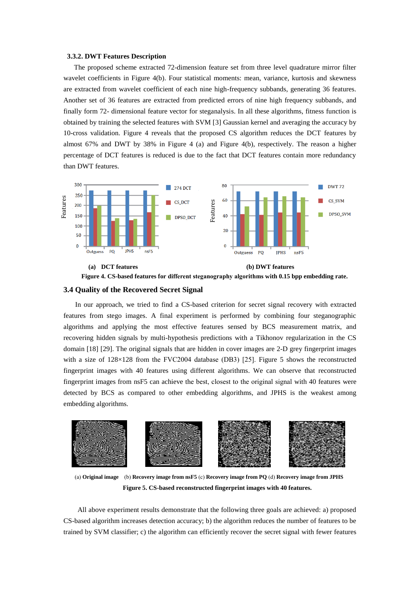#### **3.3.2. DWT Features Description**

 The proposed scheme extracted 72-dimension feature set from three level quadrature mirror filter wavelet coefficients in Figure 4(b). Four statistical moments: mean, variance, kurtosis and skewness are extracted from wavelet coefficient of each nine high-frequency subbands, generating 36 features. Another set of 36 features are extracted from predicted errors of nine high frequency subbands, and finally form 72- dimensional feature vector for steganalysis. In all these algorithms, fitness function is obtained by training the selected features with SVM [3] Gaussian kernel and averaging the accuracy by 10-cross validation. Figure 4 reveals that the proposed CS algorithm reduces the DCT features by almost  $67\%$  and DWT by 38% in Figure 4 (a) and Figure 4(b), respectively. The reason a higher percentage of DCT features is reduced is due to the fact that DCT features contain more redundancy than DWT features.



**Figure 4. CS-based features for different steganography algorithms with 0.15 bpp embedding rate.**

## **3.4 Quality of the Recovered Secret Signal**

 In our approach, we tried to find a CS-based criterion for secret signal recovery with extracted features from stego images. A final experiment is performed by combining four steganographic algorithms and applying the most effective features sensed by BCS measurement matrix, and recovering hidden signals by multi-hypothesis predictions with a Tikhonov regularization in the CS domain [18] [29]. The original signals that are hidden in cover images are 2-D grey fingerprint images with a size of  $128\times128$  from the FVC2004 database (DB3) [25]. Figure 5 shows the reconstructed fingerprint images with 40 features using different algorithms. We can observe that reconstructed fingerprint images from nsF5 can achieve the best, closest to the original signal with 40 features were detected by BCS as compared to other embedding algorithms, and JPHS is the weakest among embedding algorithms. **EXECUTE:** THE CARRELL IS the algorithm can effect the algorithm can efficiently recover the secret signal on DCF features for different stegangeaphy algorithms with 0.15 hpp embedding rate.<br>
34 Quality of the Recovered S



(a) **Original image** (b) **Recovery image from nsF5** (c) **Recovery image from PQ** (d) **Recovery image from JPHS Figure 5. CS-based reconstructed fingerprint images with 40 features.** 

All above experiment results demonstrate that the following three goals are achieved: a) proposed CS-based algorithm increases detection accuracy; b) the algorithm reduces the number of features to be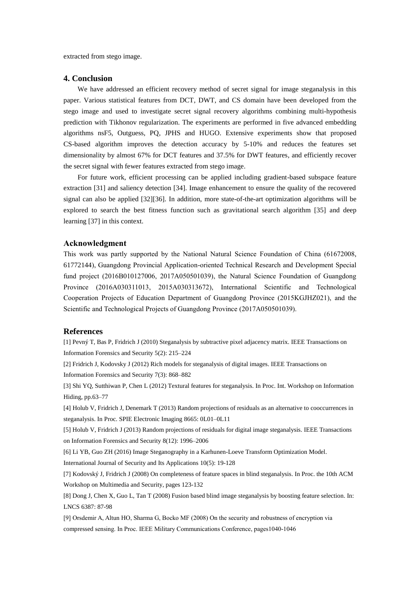extracted from stego image.

## **4. Conclusion**

We have addressed an efficient recovery method of secret signal for image steganalysis in this paper. Various statistical features from DCT, DWT, and CS domain have been developed from the stego image and used to investigate secret signal recovery algorithms combining multi-hypothesis prediction with Tikhonov regularization. The experiments are performed in five advanced embedding algorithms nsF5, Outguess, PQ, JPHS and HUGO. Extensive experiments show that proposed CS-based algorithm improves the detection accuracy by 5-10% and reduces the features set dimensionality by almost 67% for DCT features and 37.5% for DWT features, and efficiently recover the secret signal with fewer features extracted from stego image.

For future work, efficient processing can be applied including gradient-based subspace feature extraction [31] and saliency detection [34]. Image enhancement to ensure the quality of the recovered signal can also be applied [32][36]. In addition, more state-of-the-art optimization algorithms will be explored to search the best fitness function such as gravitational search algorithm [35] and deep learning [37] in this context.

# **Acknowledgment**

This work was partly supported by the National Natural Science Foundation of China (61672008, 61772144), Guangdong Provincial Application-oriented Technical Research and Development Special fund project (2016B010127006, 2017A050501039), the Natural Science Foundation of Guangdong Province (2016A030311013, 2015A030313672), International Scientific and Technological Cooperation Projects of Education Department of Guangdong Province (2015KGJHZ021), and the Scientific and Technological Projects of Guangdong Province (2017A050501039).

## **References**

[1] Pevný T, Bas P, Fridrich J (2010) Steganalysis by subtractive pixel adjacency matrix. IEEE Transactions on Information Forensics and Security 5(2): 215–224

[2] Fridrich J, Kodovsky J (2012) Rich models for steganalysis of digital images. IEEE Transactions on Information Forensics and Security 7(3): 868–882

[3] Shi YQ, Sutthiwan P, Chen L (2012) Textural features for steganalysis. In Proc. Int. Workshop on Information Hiding, pp.63–77

[4] Holub V, Fridrich J, Denemark T (2013) Random projections of residuals as an alternative to cooccurrences in steganalysis. In Proc. SPIE Electronic Imaging 8665: 0L01–0L11

[5] Holub V, Fridrich J (2013) Random projections of residuals for digital image steganalysis. IEEE Transactions on Information Forensics and Security 8(12): 1996–2006

[6] Li YB, Guo ZH (2016) Image Steganography in a Karhunen-Loeve Transform Optimization Model.

International Journal of Security and Its Applications 10(5): 19-128

[7] Kodovský J, Fridrich J (2008) On completeness of feature spaces in blind steganalysis. In Proc. the 10th ACM Workshop on Multimedia and Security, pages 123-132

[8] Dong J, Chen X, Guo L, Tan T (2008) Fusion based blind image steganalysis by boosting feature selection. In: LNCS 6387: 87-98

[9] Orsdemir A, Altun HO, Sharma G, Bocko MF (2008) On the security and robustness of encryption via compressed sensing. In Proc. IEEE Military Communications Conference, pages1040-1046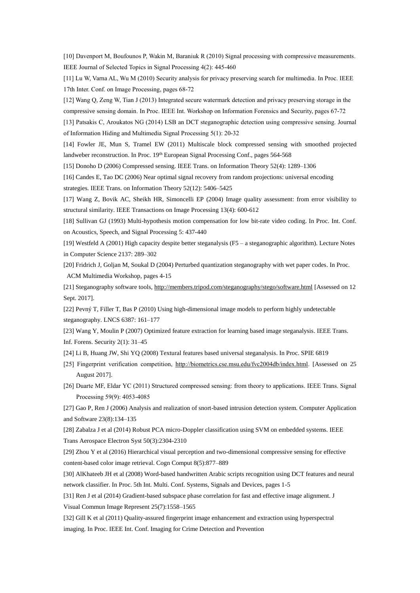[10] Davenport M, Boufounos P, Wakin M, Baraniuk R (2010) Signal processing with compressive measurements. IEEE Journal of Selected Topics in Signal Processing 4(2): 445-460

[11] Lu W, Varna AL, Wu M (2010) Security analysis for privacy preserving search for multimedia. In Proc. IEEE 17th Inter. Conf. on Image Processing, pages 68-72

[12] Wang Q, Zeng W, Tian J (2013) Integrated secure watermark detection and privacy preserving storage in the

compressive sensing domain. In Proc. IEEE Int. Workshop on Information Forensics and Security, pages 67-72

[13] Patsakis C, Aroukatos NG (2014) LSB an DCT steganographic detection using compressive sensing. Journal of Information Hiding and Multimedia Signal Processing 5(1): 20-32

[14] Fowler JE, Mun S, Tramel EW (2011) Multiscale block compressed sensing with smoothed projected landweber reconstruction. In Proc. 19<sup>th</sup> European Signal Processing Conf., pages 564-568

[15] Donoho D (2006) Compressed sensing. IEEE Trans. on Information Theory 52(4): 1289–1306

[16] Candes E, Tao DC (2006) Near optimal signal recovery from random projections: universal encoding strategies. IEEE Trans. on Information Theory 52(12): 5406–5425

[17] Wang Z, Bovik AC, Sheikh HR, Simoncelli EP (2004) Image quality assessment: from error visibility to structural similarity. IEEE Transactions on Image Processing 13(4): 600-612

[18] Sullivan GJ (1993) Multi-hypothesis motion compensation for low bit-rate video coding. In Proc. Int. Conf. on Acoustics, Speech, and Signal Processing 5: 437-440

[19] Westfeld A (2001) High capacity despite better steganalysis (F5 – a steganographic algorithm). Lecture Notes in Computer Science 2137: 289–302

[20] Fridrich J, Goljan M, Soukal D (2004) Perturbed quantization steganography with wet paper codes. In Proc. ACM Multimedia Workshop, pages 4-15

[21] Steganography software tools[, http://members.tripod.com/steganography/stego/software.html](http://members.tripod.com/steganography/stego/software.html) [Assessed on 12 Sept. 2017].

[22] Pevný T, Filler T, Bas P (2010) Using high-dimensional image models to perform highly undetectable steganography. LNCS 6387: 161–177

[23] Wang Y, Moulin P (2007) Optimized feature extraction for learning based image steganalysis. IEEE Trans. Inf. Forens. Security 2(1): 31–45

- [24] Li B, Huang JW, Shi YQ (2008) Textural features based universal steganalysis. In Proc. SPIE 6819
- [25] Fingerprint verification competition, [http://biometrics.cse.msu.edu/fvc2004db/index.html.](http://biometrics.cse.msu.edu/fvc2004db/index.html) [Assessed on 25 August 2017].
- [26] Duarte MF, Eldar YC (2011) Structured compressed sensing: from theory to applications. IEEE Trans. Signal Processing 59(9): 4053-4085

[27] Gao P, Ren J (2006) Analysis and realization of snort-based intrusion detection system. Computer Application and Software 23(8):134–135

[28] Zabalza J et al (2014) Robust PCA micro-Doppler classification using SVM on embedded systems. IEEE Trans Aerospace Electron Syst 50(3):2304-2310

[29] Zhou Y et al (2016) Hierarchical visual perception and two-dimensional compressive sensing for effective content-based color image retrieval. Cogn Comput 8(5):877–889

[30] AlKhateeb JH et al (2008) Word-based handwritten Arabic scripts recognition using DCT features and neural network classifier. In Proc. 5th Int. Multi. Conf. Systems, Signals and Devices, pages 1-5

[31] Ren J et al (2014) Gradient-based subspace phase correlation for fast and effective image alignment. J Visual Commun Image Represent 25(7):1558–1565

[32] Gill K et al (2011) Quality-assured fingerprint image enhancement and extraction using hyperspectral imaging. In Proc. IEEE Int. Conf. Imaging for Crime Detection and Prevention